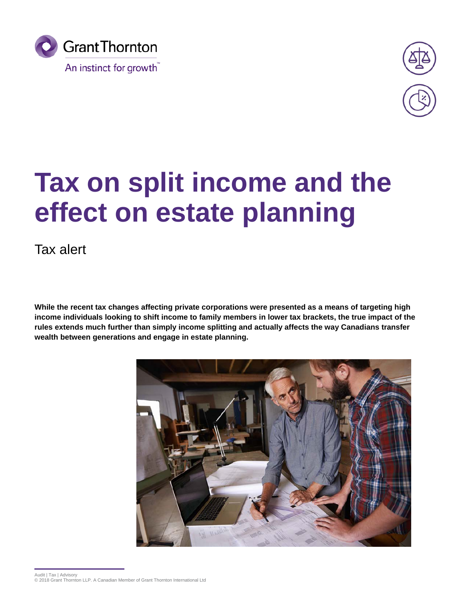



# **Tax on split income and the effect on estate planning**

Tax alert

**While the recent tax changes affecting private corporations were presented as a means of targeting high income individuals looking to shift income to family members in lower tax brackets, the true impact of the rules extends much further than simply income splitting and actually affects the way Canadians transfer wealth between generations and engage in estate planning.**

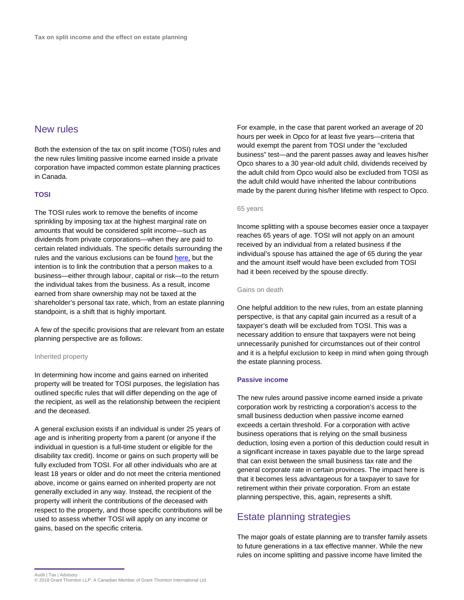# New rules

Both the extension of the tax on split income (TOSI) rules and the new rules limiting passive income earned inside a private corporation have impacted common estate planning practices in Canada.

# **TOSI**

The TOSI rules work to remove the benefits of income sprinkling by imposing tax at the highest marginal rate on amounts that would be considered split income—such as dividends from private corporations—when they are paid to certain related individuals. The specific details surrounding the rules and the various exclusions can be found [here,](https://www.grantthornton.ca/en/insights/articles-and-publications/Tax-alerts/proposed-changes-to-gsthst-rules-for-limited-partnerships2/) but the intention is to link the contribution that a person makes to a business—either through labour, capital or risk—to the return the individual takes from the business. As a result, income earned from share ownership may not be taxed at the shareholder's personal tax rate, which, from an estate planning standpoint, is a shift that is highly important.

A few of the specific provisions that are relevant from an estate planning perspective are as follows:

### Inherited property

In determining how income and gains earned on inherited property will be treated for TOSI purposes, the legislation has outlined specific rules that will differ depending on the age of the recipient, as well as the relationship between the recipient and the deceased.

A general exclusion exists if an individual is under 25 years of age and is inheriting property from a parent (or anyone if the individual in question is a full-time student or eligible for the disability tax credit). Income or gains on such property will be fully excluded from TOSI. For all other individuals who are at least 18 years or older and do not meet the criteria mentioned above, income or gains earned on inherited property are not generally excluded in any way. Instead, the recipient of the property will inherit the contributions of the deceased with respect to the property, and those specific contributions will be used to assess whether TOSI will apply on any income or gains, based on the specific criteria.

For example, in the case that parent worked an average of 20 hours per week in Opco for at least five years—criteria that would exempt the parent from TOSI under the "excluded business" test—and the parent passes away and leaves his/her Opco shares to a 30 year-old adult child, dividends received by the adult child from Opco would also be excluded from TOSI as the adult child would have inherited the labour contributions made by the parent during his/her lifetime with respect to Opco.

## 65 years

Income splitting with a spouse becomes easier once a taxpayer reaches 65 years of age. TOSI will not apply on an amount received by an individual from a related business if the individual's spouse has attained the age of 65 during the year and the amount itself would have been excluded from TOSI had it been received by the spouse directly.

# Gains on death

One helpful addition to the new rules, from an estate planning perspective, is that any capital gain incurred as a result of a taxpayer's death will be excluded from TOSI. This was a necessary addition to ensure that taxpayers were not being unnecessarily punished for circumstances out of their control and it is a helpful exclusion to keep in mind when going through the estate planning process.

#### **Passive income**

The new rules around passive income earned inside a private corporation work by restricting a corporation's access to the small business deduction when passive income earned exceeds a certain threshold. For a corporation with active business operations that is relying on the small business deduction, losing even a portion of this deduction could result in a significant increase in taxes payable due to the large spread that can exist between the small business tax rate and the general corporate rate in certain provinces. The impact here is that it becomes less advantageous for a taxpayer to save for retirement within their private corporation. From an estate planning perspective, this, again, represents a shift.

# Estate planning strategies

The major goals of estate planning are to transfer family assets to future generations in a tax effective manner. While the new rules on income splitting and passive income have limited the

Audit | Tax | Advisory © 2018 Grant Thornton LLP. A Canadian Member of Grant Thornton International Ltd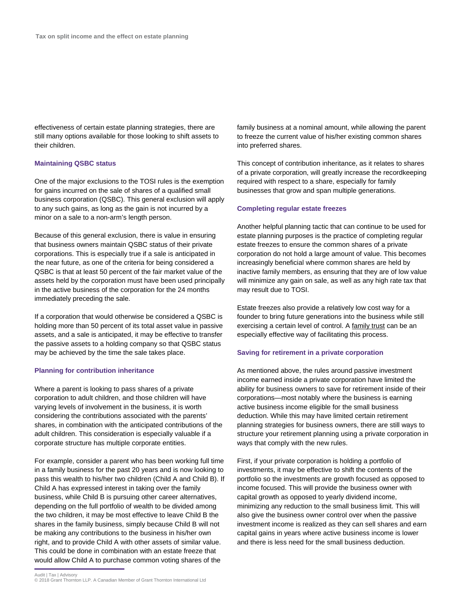effectiveness of certain estate planning strategies, there are still many options available for those looking to shift assets to their children.

# **Maintaining QSBC status**

One of the major exclusions to the TOSI rules is the exemption for gains incurred on the sale of shares of a qualified small business corporation (QSBC). This general exclusion will apply to any such gains, as long as the gain is not incurred by a minor on a sale to a non-arm's length person.

Because of this general exclusion, there is value in ensuring that business owners maintain QSBC status of their private corporations. This is especially true if a sale is anticipated in the near future, as one of the criteria for being considered a QSBC is that at least 50 percent of the fair market value of the assets held by the corporation must have been used principally in the active business of the corporation for the 24 months immediately preceding the sale.

If a corporation that would otherwise be considered a QSBC is holding more than 50 percent of its total asset value in passive assets, and a sale is anticipated, it may be effective to transfer the passive assets to a holding company so that QSBC status may be achieved by the time the sale takes place.

## **Planning for contribution inheritance**

Where a parent is looking to pass shares of a private corporation to adult children, and those children will have varying levels of involvement in the business, it is worth considering the contributions associated with the parents' shares, in combination with the anticipated contributions of the adult children. This consideration is especially valuable if a corporate structure has multiple corporate entities.

For example, consider a parent who has been working full time in a family business for the past 20 years and is now looking to pass this wealth to his/her two children (Child A and Child B). If Child A has expressed interest in taking over the family business, while Child B is pursuing other career alternatives, depending on the full portfolio of wealth to be divided among the two children, it may be most effective to leave Child B the shares in the family business, simply because Child B will not be making any contributions to the business in his/her own right, and to provide Child A with other assets of similar value. This could be done in combination with an estate freeze that would allow Child A to purchase common voting shares of the

family business at a nominal amount, while allowing the parent to freeze the current value of his/her existing common shares into preferred shares.

This concept of contribution inheritance, as it relates to shares of a private corporation, will greatly increase the recordkeeping required with respect to a share, especially for family businesses that grow and span multiple generations.

# **Completing regular estate freezes**

Another helpful planning tactic that can continue to be used for estate planning purposes is the practice of completing regular estate freezes to ensure the common shares of a private corporation do not hold a large amount of value. This becomes increasingly beneficial where common shares are held by inactive family members, as ensuring that they are of low value will minimize any gain on sale, as well as any high rate tax that may result due to TOSI.

Estate freezes also provide a relatively low cost way for a founder to bring future generations into the business while still exercising a certain level of control. A family trust can be an especially effective way of facilitating this process.

## **Saving for retirement in a private corporation**

As mentioned above, the rules around passive investment income earned inside a private corporation have limited the ability for business owners to save for retirement inside of their corporations—most notably where the business is earning active business income eligible for the small business deduction. While this may have limited certain retirement planning strategies for business owners, there are still ways to structure your retirement planning using a private corporation in ways that comply with the new rules.

First, if your private corporation is holding a portfolio of investments, it may be effective to shift the contents of the portfolio so the investments are growth focused as opposed to income focused. This will provide the business owner with capital growth as opposed to yearly dividend income, minimizing any reduction to the small business limit. This will also give the business owner control over when the passive investment income is realized as they can sell shares and earn capital gains in years where active business income is lower and there is less need for the small business deduction.